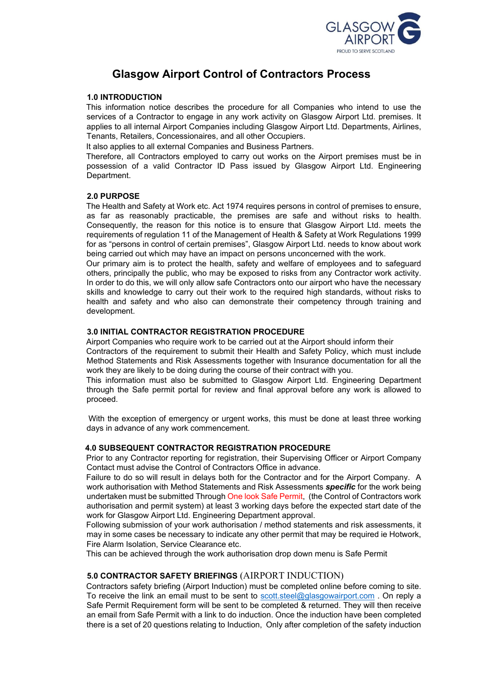

# **Glasgow Airport Control of Contractors Process**

## **1.0 INTRODUCTION**

This information notice describes the procedure for all Companies who intend to use the services of a Contractor to engage in any work activity on Glasgow Airport Ltd. premises. It applies to all internal Airport Companies including Glasgow Airport Ltd. Departments, Airlines, Tenants, Retailers, Concessionaires, and all other Occupiers.

It also applies to all external Companies and Business Partners.

Therefore, all Contractors employed to carry out works on the Airport premises must be in possession of a valid Contractor ID Pass issued by Glasgow Airport Ltd. Engineering Department.

### **2.0 PURPOSE**

The Health and Safety at Work etc. Act 1974 requires persons in control of premises to ensure, as far as reasonably practicable, the premises are safe and without risks to health. Consequently, the reason for this notice is to ensure that Glasgow Airport Ltd. meets the requirements of regulation 11 of the Management of Health & Safety at Work Regulations 1999 for as "persons in control of certain premises", Glasgow Airport Ltd. needs to know about work being carried out which may have an impact on persons unconcerned with the work.

Our primary aim is to protect the health, safety and welfare of employees and to safeguard others, principally the public, who may be exposed to risks from any Contractor work activity. In order to do this, we will only allow safe Contractors onto our airport who have the necessary skills and knowledge to carry out their work to the required high standards, without risks to health and safety and who also can demonstrate their competency through training and development.

## **3.0 INITIAL CONTRACTOR REGISTRATION PROCEDURE**

Airport Companies who require work to be carried out at the Airport should inform their Contractors of the requirement to submit their Health and Safety Policy, which must include Method Statements and Risk Assessments together with Insurance documentation for all the work they are likely to be doing during the course of their contract with you.

This information must also be submitted to Glasgow Airport Ltd. Engineering Department through the Safe permit portal for review and final approval before any work is allowed to proceed.

With the exception of emergency or urgent works, this must be done at least three working days in advance of any work commencement.

## **4.0 SUBSEQUENT CONTRACTOR REGISTRATION PROCEDURE**

Prior to any Contractor reporting for registration, their Supervising Officer or Airport Company Contact must advise the Control of Contractors Office in advance.

Failure to do so will result in delays both for the Contractor and for the Airport Company. A work authorisation with Method Statements and Risk Assessments *specific* for the work being undertaken must be submitted Through One look Safe Permit, (the Control of Contractors work authorisation and permit system) at least 3 working days before the expected start date of the work for Glasgow Airport Ltd. Engineering Department approval.

Following submission of your work authorisation / method statements and risk assessments, it may in some cases be necessary to indicate any other permit that may be required ie Hotwork, Fire Alarm Isolation, Service Clearance etc.

This can be achieved through the work authorisation drop down menu is Safe Permit

## **5.0 CONTRACTOR SAFETY BRIEFINGS** (AIRPORT INDUCTION)

Contractors safety briefing (Airport Induction) must be completed online before coming to site. To receive the link an email must to be sent to [scott.steel@glasgowairport.com](mailto:scott.steel@glasgowairport.com) . On reply a Safe Permit Requirement form will be sent to be completed & returned. They will then receive an email from Safe Permit with a link to do induction. Once the induction have been completed there is a set of 20 questions relating to Induction, Only after completion of the safety induction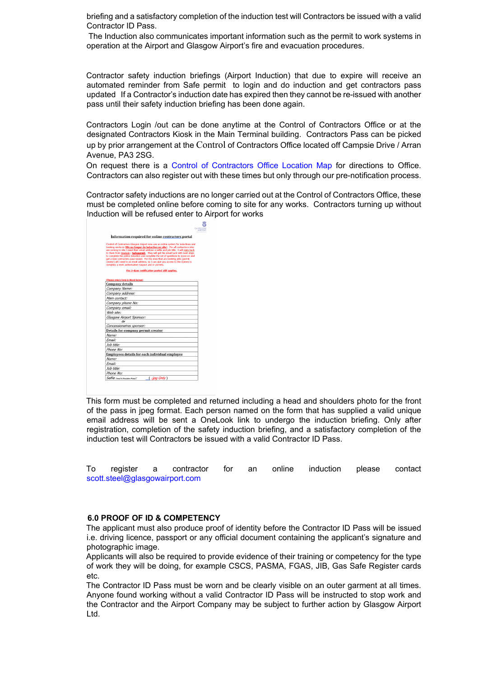briefing and a satisfactory completion of the induction test will Contractors be issued with a valid Contractor ID Pass.

The Induction also communicates important information such as the permit to work systems in operation at the Airport and Glasgow Airport's fire and evacuation procedures.

Contractor safety induction briefings (Airport Induction) that due to expire will receive an automated reminder from Safe permit to login and do induction and get contractors pass updated If a Contractor's induction date has expired then they cannot be re-issued with another pass until their safety induction briefing has been done again.

Contractors Login /out can be done anytime at the Control of Contractors Office or at the designated Contractors Kiosk in the Main Terminal building. Contractors Pass can be picked up by prior arrangement at the Control of Contractors Office located off Campsie Drive / Arran Avenue, PA3 2SG.

On request there is a Control of Contractors Office Location Map for directions to Office. Contractors can also register out with these times but only through our pre-notification process.

Contractor safety inductions are no longer carried out at the Control of Contractors Office, these must be completed online before coming to site for any works. Contractors turning up without Induction will be refused enter to Airport for works

|                        | Information required for online contractors portal                                                                                                                                                                                                                                                                                                                                                                                                                                                                                                                                                            |
|------------------------|---------------------------------------------------------------------------------------------------------------------------------------------------------------------------------------------------------------------------------------------------------------------------------------------------------------------------------------------------------------------------------------------------------------------------------------------------------------------------------------------------------------------------------------------------------------------------------------------------------------|
|                        | Control of Contractors Glasgow Airport now use an online system for inductions and<br>booking works in (We no longer do induction on site). For all contractors who<br>are coming to site I need their email address a selfie and job title. I will reply back<br>to them from Onelook / Safepermit. They will get the email back with next steps<br>to complete the online induction and complete the set of questions to move on and<br>get a new contractors pass issued. For the ones that are booking jobs (permit<br>creator) all I need is an email address, so I can give you access to the system to |
|                        | complete a work authorisation request and or permits.                                                                                                                                                                                                                                                                                                                                                                                                                                                                                                                                                         |
|                        | The 3-days notification period still applies.                                                                                                                                                                                                                                                                                                                                                                                                                                                                                                                                                                 |
|                        | (Please return form in Word format)                                                                                                                                                                                                                                                                                                                                                                                                                                                                                                                                                                           |
| <b>Company details</b> |                                                                                                                                                                                                                                                                                                                                                                                                                                                                                                                                                                                                               |
| Company Name:          |                                                                                                                                                                                                                                                                                                                                                                                                                                                                                                                                                                                                               |
| Company address:       |                                                                                                                                                                                                                                                                                                                                                                                                                                                                                                                                                                                                               |
| Main contact:          |                                                                                                                                                                                                                                                                                                                                                                                                                                                                                                                                                                                                               |
| Company phone No:      |                                                                                                                                                                                                                                                                                                                                                                                                                                                                                                                                                                                                               |
| Company email:         |                                                                                                                                                                                                                                                                                                                                                                                                                                                                                                                                                                                                               |
| Web site:              |                                                                                                                                                                                                                                                                                                                                                                                                                                                                                                                                                                                                               |
|                        | Glasgow Airport Sponsor:                                                                                                                                                                                                                                                                                                                                                                                                                                                                                                                                                                                      |
|                        |                                                                                                                                                                                                                                                                                                                                                                                                                                                                                                                                                                                                               |
|                        | Concessionaires sponsor:                                                                                                                                                                                                                                                                                                                                                                                                                                                                                                                                                                                      |
|                        | Details for company permit creator                                                                                                                                                                                                                                                                                                                                                                                                                                                                                                                                                                            |
| Name:                  |                                                                                                                                                                                                                                                                                                                                                                                                                                                                                                                                                                                                               |
| Fmail:                 |                                                                                                                                                                                                                                                                                                                                                                                                                                                                                                                                                                                                               |
| Job title:             |                                                                                                                                                                                                                                                                                                                                                                                                                                                                                                                                                                                                               |
| Phone No:              |                                                                                                                                                                                                                                                                                                                                                                                                                                                                                                                                                                                                               |
|                        | Employees details for each individual employee                                                                                                                                                                                                                                                                                                                                                                                                                                                                                                                                                                |
| Name:                  |                                                                                                                                                                                                                                                                                                                                                                                                                                                                                                                                                                                                               |
| Fmail:                 |                                                                                                                                                                                                                                                                                                                                                                                                                                                                                                                                                                                                               |
| Job title:             |                                                                                                                                                                                                                                                                                                                                                                                                                                                                                                                                                                                                               |
| Phone No:              |                                                                                                                                                                                                                                                                                                                                                                                                                                                                                                                                                                                                               |

This form must be completed and returned including a head and shoulders photo for the front of the pass in jpeg format. Each person named on the form that has supplied a valid unique email address will be sent a OneLook link to undergo the induction briefing. Only after registration, completion of the safety induction briefing, and a satisfactory completion of the induction test will Contractors be issued with a valid Contractor ID Pass.

To register a contractor for an online induction please contact scott.steel@glasgowairport.com

### **6.0 PROOF OF ID & COMPETENCY**

The applicant must also produce proof of identity before the Contractor ID Pass will be issued i.e. driving licence, passport or any official document containing the applicant's signature and photographic image.

Applicants will also be required to provide evidence of their training or competency for the type of work they will be doing, for example CSCS, PASMA, FGAS, JIB, Gas Safe Register cards etc.

The Contractor ID Pass must be worn and be clearly visible on an outer garment at all times. Anyone found working without a valid Contractor ID Pass will be instructed to stop work and the Contractor and the Airport Company may be subject to further action by Glasgow Airport Ltd.